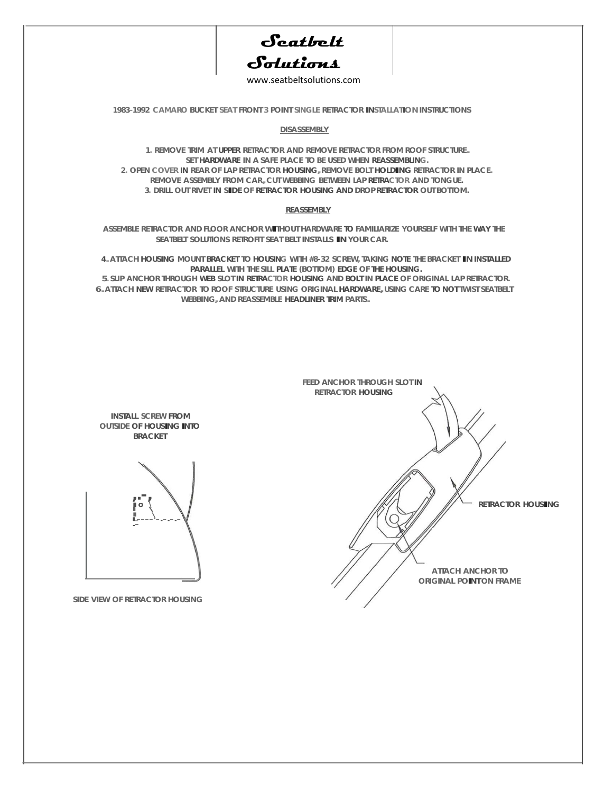

www.seatbeltsolutions.com

**1983-1992 CAMARO BUCKET SEAT FRONT 3 POINT SINGLE RETRACTOR INSTALLATION INSTRUCTIONS** 

**DISASSEMBLY**

**1. REMOVE TRIM AT UPPER RETRACTOR AND REMOVE RETRACTOR FROM ROOF STRUCTURE. SET HARDWARE IN A SAFE PLACE TO BE USED WHEN REASSEMBLING. 2. OPEN COVER IN REAR OF LAP RETRACTOR HOUSING,REMOVE BOLT HOLDING RETRACTOR IN PLACE. REMOVE ASSEMBLY FROM CAR,CUT WEBBING BETWEEN LAP RETRACTOR AND TONGUE. 3. DRILL OUT RIVET IN SIDE OF RETRACTOR HOUSING AND DROP RETRACTOR OUT BOTTOM.**

## **REASSEMBLY**

**ASSEMBLE RETRACTOR AND FLOOR ANCHOR WITHOUT HARDWARE TO FAMILIARIZE YOURSELF WITH THE WAY THE SEATBELT SOLUTIONS RETROFIT SEAT BELT INSTALLS IN YOUR CAR.**

**4.ATTACH HOUSING MOUNT BRACKET TO HOUSING WITH #8-32 SCREW, TAKING NOTE THE BRACKET IN INSTALLED PARALLEL WITH THE SILL PLATE (BOTTOM) EDGE OF THE HOUSING.**

**5. SLIP ANCHOR THROUGH WEB SLOT IN RETRACTOR HOUSING AND BOLT IN PLACE OF ORIGINAL LAP RETRACTOR. 6.ATTACH NEW RETRACTOR TO ROOF STRUCTURE USING ORIGINAL HARDWARE,USING CARE TO NOT TWIST SEATBELT WEBBING,AND REASSEMBLE HEADLINER TRIM PARTS.**



**INSTALL SCREW FROM OUTSIDE OF HOUSING INTO BRACKET**



**SIDE VIEW OF RETRACTOR HOUSING**